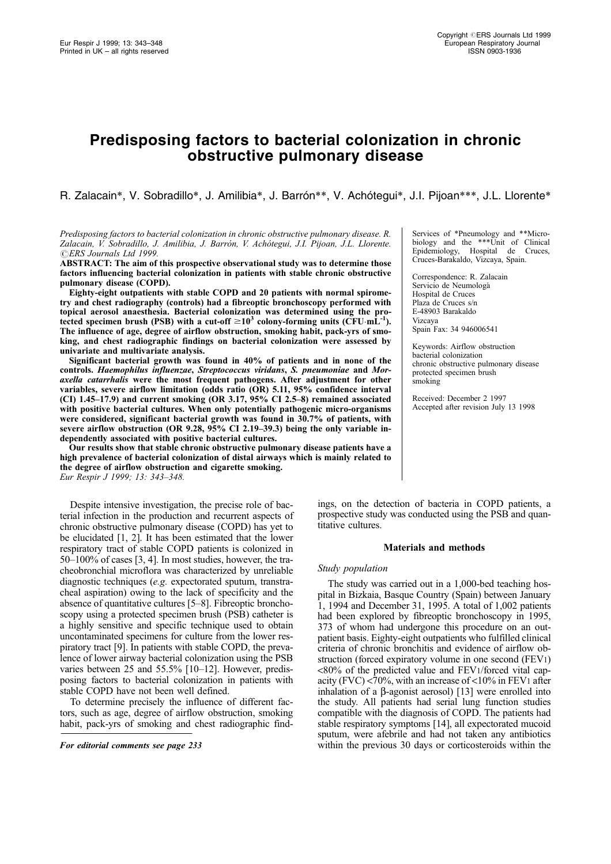# Predisposing factors to bacterial colonization in chronic obstructive pulmonary disease

R. Zalacain\*, V. Sobradillo\*, J. Amilibia\*, J. Barrón\*\*, V. Achótegui\*, J.I. Pijoan\*\*\*, J.L. Llorente\*

## Predisposing factors to bacterial colonization in chronic obstructive pulmonary disease. R. Zalacain, V. Sobradillo, J. Amilibia, J. Barrón, V. Achótegui, J.I. Pijoan, J.L. Llorente. CERS Journals Ltd 1999.

ABSTRACT: The aim of this prospective observational study was to determine those factors influencing bacterial colonization in patients with stable chronic obstructive pulmonary disease (COPD).

Eighty-eight outpatients with stable COPD and 20 patients with normal spirometry and chest radiography (controls) had a fibreoptic bronchoscopy performed with topical aerosol anaesthesia. Bacterial colonization was determined using the protected specimen brush (PSB) with a cut-off  $\geq 10^3$  colony-forming units (CFU·mL<sup>-1</sup>). The influence of age, degree of airflow obstruction, smoking habit, pack-yrs of smoking, and chest radiographic findings on bacterial colonization were assessed by univariate and multivariate analysis.

Significant bacterial growth was found in 40% of patients and in none of the controls. Haemophilus influenzae, Streptococcus viridans, S. pneumoniae and Moraxella catarrhalis were the most frequent pathogens. After adjustment for other variables, severe airflow limitation (odds ratio (OR) 5.11, 95% confidence interval (CI) 1.45 $-17.9$ ) and current smoking (OR 3.17, 95% CI 2.5 $-8$ ) remained associated with positive bacterial cultures. When only potentially pathogenic micro-organisms were considered, significant bacterial growth was found in 30.7% of patients, with severe airflow obstruction (OR 9.28, 95% CI 2.19-39.3) being the only variable independently associated with positive bacterial cultures.

Our results show that stable chronic obstructive pulmonary disease patients have a high prevalence of bacterial colonization of distal airways which is mainly related to the degree of airflow obstruction and cigarette smoking. Eur Respir J 1999; 13: 343-348.

Despite intensive investigation, the precise role of bacterial infection in the production and recurrent aspects of chronic obstructive pulmonary disease (COPD) has yet to be elucidated [1, 2]. It has been estimated that the lower respiratory tract of stable COPD patients is colonized in  $50-100\%$  of cases [3, 4]. In most studies, however, the tracheobronchial microflora was characterized by unreliable diagnostic techniques (e.g. expectorated sputum, transtracheal aspiration) owing to the lack of specificity and the absence of quantitative cultures  $[5-8]$ . Fibreoptic bronchoscopy using a protected specimen brush (PSB) catheter is a highly sensitive and specific technique used to obtain uncontaminated specimens for culture from the lower respiratory tract [9]. In patients with stable COPD, the prevalence of lower airway bacterial colonization using the PSB varies between 25 and  $55.5\%$  [10-12]. However, predisposing factors to bacterial colonization in patients with stable COPD have not been well defined.

To determine precisely the influence of different factors, such as age, degree of airflow obstruction, smoking habit, pack-yrs of smoking and chest radiographic find-

Services of \*Pneumology and \*\*Microbiology and the \*\*\*Unit of Clinical Epidemiology, Hospital de Cruces, Cruces-Barakaldo, Vizcaya, Spain.

Correspondence: R. Zalacain Servicio de Neumologá Hospital de Cruces Plaza de Cruces s/n E-48903 Barakaldo Vizcaya Spain Fax: 34 946006541

Keywords: Airflow obstruction bacterial colonization chronic obstructive pulmonary disease protected specimen brush smoking

Received: December 2 1997 Accepted after revision July 13 1998

ings, on the detection of bacteria in COPD patients, a prospective study was conducted using the PSB and quantitative cultures.

## Materials and methods

## Study population

The study was carried out in a 1,000-bed teaching hospital in Bizkaia, Basque Country (Spain) between January 1, 1994 and December 31, 1995. A total of 1,002 patients had been explored by fibreoptic bronchoscopy in 1995, 373 of whom had undergone this procedure on an outpatient basis. Eighty-eight outpatients who fulfilled clinical criteria of chronic bronchitis and evidence of airflow obstruction (forced expiratory volume in one second (FEV1) <80% of the predicted value and FEV1/forced vital capacity (FVC)  $\langle 70\%, \text{ with an increase of } \langle 10\% \text{ in FEV1 after} \rangle$ inhalation of a  $\beta$ -agonist aerosol) [13] were enrolled into the study. All patients had serial lung function studies compatible with the diagnosis of COPD. The patients had stable respiratory symptoms [14], all expectorated mucoid sputum, were afebrile and had not taken any antibiotics For editorial comments see page 233 within the previous 30 days or corticosteroids within the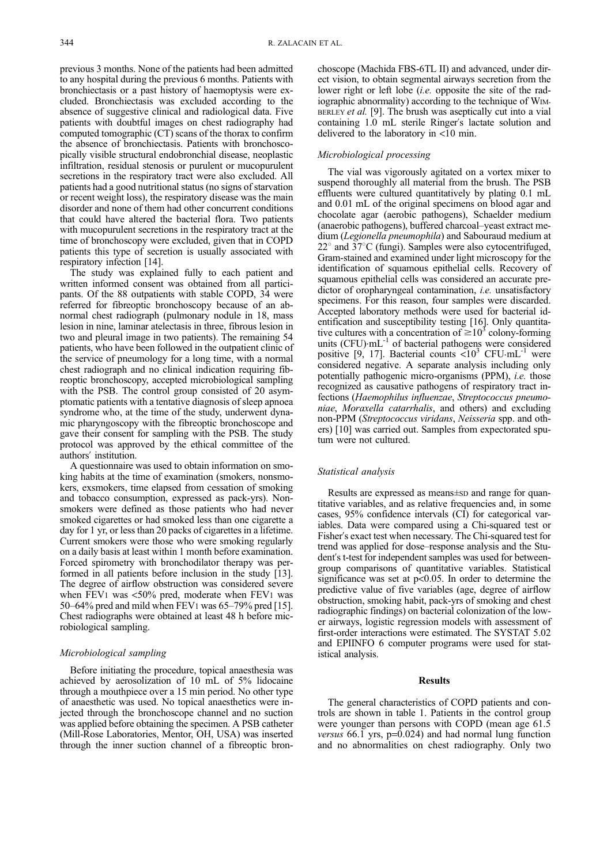previous 3 months. None of the patients had been admitted to any hospital during the previous 6 months. Patients with bronchiectasis or a past history of haemoptysis were excluded. Bronchiectasis was excluded according to the absence of suggestive clinical and radiological data. Five patients with doubtful images on chest radiography had computed tomographic (CT) scans of the thorax to confirm the absence of bronchiectasis. Patients with bronchoscopically visible structural endobronchial disease, neoplastic infiltration, residual stenosis or purulent or mucopurulent secretions in the respiratory tract were also excluded. All patients had a good nutritional status (no signs of starvation or recent weight loss), the respiratory disease was the main disorder and none of them had other concurrent conditions that could have altered the bacterial flora. Two patients with mucopurulent secretions in the respiratory tract at the time of bronchoscopy were excluded, given that in COPD patients this type of secretion is usually associated with respiratory infection [14].

The study was explained fully to each patient and written informed consent was obtained from all participants. Of the 88 outpatients with stable COPD, 34 were referred for fibreoptic bronchoscopy because of an abnormal chest radiograph (pulmonary nodule in 18, mass lesion in nine, laminar atelectasis in three, fibrous lesion in two and pleural image in two patients). The remaining 54 patients, who have been followed in the outpatient clinic of the service of pneumology for a long time, with a normal chest radiograph and no clinical indication requiring fibreoptic bronchoscopy, accepted microbiological sampling with the PSB. The control group consisted of 20 asymptomatic patients with a tentative diagnosis of sleep apnoea syndrome who, at the time of the study, underwent dynamic pharyngoscopy with the fibreoptic bronchoscope and gave their consent for sampling with the PSB. The study protocol was approved by the ethical committee of the authors' institution.

A questionnaire was used to obtain information on smoking habits at the time of examination (smokers, nonsmokers, exsmokers, time elapsed from cessation of smoking and tobacco consumption, expressed as pack-yrs). Nonsmokers were defined as those patients who had never smoked cigarettes or had smoked less than one cigarette a day for 1 yr, or less than 20 packs of cigarettes in a lifetime. Current smokers were those who were smoking regularly on a daily basis at least within 1 month before examination. Forced spirometry with bronchodilator therapy was performed in all patients before inclusion in the study [13]. The degree of airflow obstruction was considered severe when FEV1 was <50% pred, moderate when FEV1 was 50 $-64\%$  pred and mild when FEV1 was 65 $-79\%$  pred [15]. Chest radiographs were obtained at least 48 h before microbiological sampling.

#### Microbiological sampling

Before initiating the procedure, topical anaesthesia was achieved by aerosolization of 10 mL of 5% lidocaine through a mouthpiece over a 15 min period. No other type of anaesthetic was used. No topical anaesthetics were injected through the bronchoscope channel and no suction was applied before obtaining the specimen. A PSB catheter (Mill-Rose Laboratories, Mentor, OH, USA) was inserted through the inner suction channel of a fibreoptic bronchoscope (Machida FBS-6TL II) and advanced, under direct vision, to obtain segmental airways secretion from the lower right or left lobe *(i.e.* opposite the site of the radiographic abnormality) according to the technique of WIM-BERLEY et al. [9]. The brush was aseptically cut into a vial containing 1.0 mL sterile Ringer's lactate solution and delivered to the laboratory in <10 min.

# Microbiological processing

The vial was vigorously agitated on a vortex mixer to suspend thoroughly all material from the brush. The PSB effluents were cultured quantitatively by plating 0.1 mL and 0.01 mL of the original specimens on blood agar and chocolate agar (aerobic pathogens), Schaelder medium (anaerobic pathogens), buffered charcoal-yeast extract medium (Legionella pneumophila) and Sabouraud medium at  $22^{\circ}$  and  $37^{\circ}$ C (fungi). Samples were also cytocentrifuged, Gram-stained and examined under light microscopy for the identification of squamous epithelial cells. Recovery of squamous epithelial cells was considered an accurate predictor of oropharyngeal contamination, *i.e.* unsatisfactory specimens. For this reason, four samples were discarded. Accepted laboratory methods were used for bacterial identification and susceptibility testing [16]. Only quantitative cultures with a concentration of  $\geq 10^3$  colony-forming units  $(CFU)$ · $mL^{-1}$  of bacterial pathogens were considered positive  $[9, 17]$ . Bacterial counts  $\langle 10^3 \text{ CFU-mL}^{-1} \text{ were}$ considered negative. A separate analysis including only potentially pathogenic micro-organisms (PPM), i.e. those recognized as causative pathogens of respiratory tract infections (Haemophilus influenzae, Streptococcus pneumoniae, Moraxella catarrhalis, and others) and excluding non-PPM (Streptococcus viridans, Neisseria spp. and others) [10] was carried out. Samples from expectorated sputum were not cultured.

## Statistical analysis

Results are expressed as means±sp and range for quantitative variables, and as relative frequencies and, in some cases, 95% confidence intervals (CI) for categorical variables. Data were compared using a Chi-squared test or Fisher's exact test when necessary. The Chi-squared test for trend was applied for dose-response analysis and the Student's t-test for independent samples was used for betweengroup comparisons of quantitative variables. Statistical significance was set at  $p<0.05$ . In order to determine the predictive value of five variables (age, degree of airflow obstruction, smoking habit, pack-yrs of smoking and chest radiographic findings) on bacterial colonization of the lower airways, logistic regression models with assessment of first-order interactions were estimated. The SYSTAT 5.02 and EPIINFO 6 computer programs were used for statistical analysis.

## Results

The general characteristics of COPD patients and controls are shown in table 1. Patients in the control group were younger than persons with COPD (mean age 61.5 *versus* 66.1 yrs,  $p=0.024$  and had normal lung function and no abnormalities on chest radiography. Only two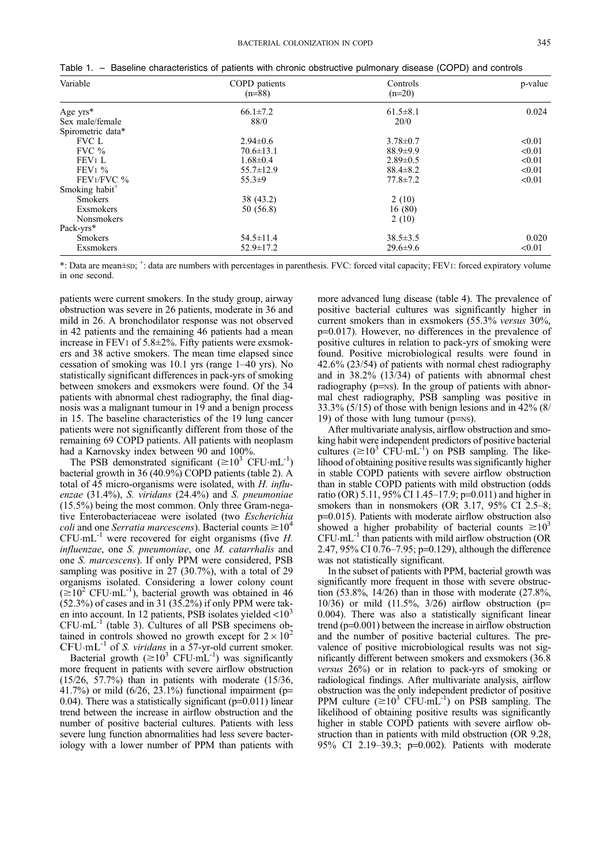| Table 1. |  | Baseline characteristics of patients with chronic obstructive pulmonary disease (COPD) and controls |
|----------|--|-----------------------------------------------------------------------------------------------------|
|----------|--|-----------------------------------------------------------------------------------------------------|

| Variable                   | COPD patients<br>$(n=88)$ | Controls<br>$(n=20)$ | p-value |  |
|----------------------------|---------------------------|----------------------|---------|--|
| Age $yrs*$                 | $66.1 \pm 7.2$            | $61.5 \pm 8.1$       | 0.024   |  |
| Sex male/female            | 88/0                      | 20/0                 |         |  |
| Spirometric data*          |                           |                      |         |  |
| FVC L                      | $2.94 \pm 0.6$            | $3.78 \pm 0.7$       | < 0.01  |  |
| FVC $\%$                   | $70.6 \pm 13.1$           | $88.9 \pm 9.9$       | < 0.01  |  |
| FEV1 L                     | $1.68 \pm 0.4$            | $2.89 \pm 0.5$       | < 0.01  |  |
| $FEV1\%$                   | $55.7 \pm 12.9$           | $88.4 \pm 8.2$       | < 0.01  |  |
| FEV1/FVC %                 | $55.3+9$                  | $77.8 \pm 7.2$       | < 0.01  |  |
| Smoking habit <sup>+</sup> |                           |                      |         |  |
| <b>Smokers</b>             | 38 (43.2)                 | 2(10)                |         |  |
| Exsmokers                  | 50 (56.8)                 | 16(80)               |         |  |
| <b>Nonsmokers</b>          |                           | 2(10)                |         |  |
| Pack-yrs*                  |                           |                      |         |  |
| <b>Smokers</b>             | $54.5 \pm 11.4$           | $38.5 \pm 3.5$       | 0.020   |  |
| Exsmokers                  | $52.9 \pm 17.2$           | $29.6 \pm 9.6$       | < 0.01  |  |

\*: Data are mean±sp; <sup>+</sup>: data are numbers with percentages in parenthesis. FVC: forced vital capacity; FEV1: forced expiratory volume in one second.

patients were current smokers. In the study group, airway obstruction was severe in 26 patients, moderate in 36 and mild in 26. A bronchodilator response was not observed in 42 patients and the remaining 46 patients had a mean increase in FEV1 of  $5.8 \pm 2\%$ . Fifty patients were exsmokers and 38 active smokers. The mean time elapsed since cessation of smoking was  $10.1$  yrs (range  $1-40$  yrs). No statistically significant differences in pack-yrs of smoking between smokers and exsmokers were found. Of the 34 patients with abnormal chest radiography, the final diagnosis was a malignant tumour in 19 and a benign process in 15. The baseline characteristics of the 19 lung cancer patients were not significantly different from those of the remaining 69 COPD patients. All patients with neoplasm had a Karnovsky index between 90 and 100%.

The PSB demonstrated significant  $(\geq 10^3 \text{ CFU} \cdot \text{mL}^{-1})$ bacterial growth in 36 (40.9%) COPD patients (table 2). A total of 45 micro-organisms were isolated, with H. influenzae (31.4%), S. viridans (24.4%) and S. pneumoniae (15.5%) being the most common. Only three Gram-negative Enterobacteriaceae were isolated (two Escherichia *coli* and one *Serratia marcescens*). Bacterial counts  $\geq 10^4$  $CFU·mL^{-1}$  were recovered for eight organisms (five H. influenzae, one S. pneumoniae, one M. catarrhalis and one S. marcescens). If only PPM were considered, PSB sampling was positive in 27 (30.7%), with a total of 29 organisms isolated. Considering a lower colony count  $(\geq 10^2 \text{ CFU} \cdot \text{mL}^{-1})$ , bacterial growth was obtained in 46 (52.3%) of cases and in 31 (35.2%) if only PPM were taken into account. In 12 patients, PSB isolates yielded <10<sup>3</sup>  $CFU·mL^{-1}$  (table 3). Cultures of all PSB specimens obtained in controls showed no growth except for  $2 \times 10^2$  $CFU·mL^{-1}$  of *S. viridans* in a 57-yr-old current smoker.

Bacterial growth  $(\geq 10^3 \text{ CFU} \cdot \text{mL}^{-1})$  was significantly more frequent in patients with severe airflow obstruction (15/26, 57.7%) than in patients with moderate (15/36, 41.7%) or mild  $(6/26, 23.1%)$  functional impairment (p= 0.04). There was a statistically significant ( $p=0.011$ ) linear trend between the increase in airflow obstruction and the number of positive bacterial cultures. Patients with less severe lung function abnormalities had less severe bacteriology with a lower number of PPM than patients with

more advanced lung disease (table 4). The prevalence of positive bacterial cultures was significantly higher in current smokers than in exsmokers (55.3% versus 30%, p=0.017). However, no differences in the prevalence of positive cultures in relation to pack-yrs of smoking were found. Positive microbiological results were found in 42.6% (23/54) of patients with normal chest radiography and in 38.2% (13/34) of patients with abnormal chest radiography ( $p=NS$ ). In the group of patients with abnormal chest radiography, PSB sampling was positive in  $33.3\%$  (5/15) of those with benign lesions and in 42% (8/ 19) of those with lung tumour ( $p=NS$ ).

After multivariate analysis, airflow obstruction and smoking habit were independent predictors of positive bacterial cultures ( $\geq 10^3$  CFU·mL<sup>-1</sup>) on PSB sampling. The likelihood of obtaining positive results was significantly higher in stable COPD patients with severe airflow obstruction than in stable COPD patients with mild obstruction (odds ratio (OR) 5.11, 95% CI 1.45-17.9; p=0.011) and higher in smokers than in nonsmokers (OR 3.17, 95% CI 2.5 $-8$ ; p=0.015). Patients with moderate airflow obstruction also showed a higher probability of bacterial counts  $\geq 10^3$ CFU.mL-1 than patients with mild airflow obstruction (OR 2.47,  $95\%$  CI 0.76–7.95; p=0.129), although the difference was not statistically significant.

In the subset of patients with PPM, bacterial growth was significantly more frequent in those with severe obstruction  $(53.8\%, 14/26)$  than in those with moderate  $(27.8\%,$ 10/36) or mild (11.5%, 3/26) airflow obstruction (p= 0.004). There was also a statistically significant linear trend  $(p=0.001)$  between the increase in airflow obstruction and the number of positive bacterial cultures. The prevalence of positive microbiological results was not significantly different between smokers and exsmokers (36.8 versus 26%) or in relation to pack-yrs of smoking or radiological findings. After multivariate analysis, airflow obstruction was the only independent predictor of positive PPM culture  $(\geq 10^3 \text{ CFU} \cdot \text{mL}^{-1})$  on PSB sampling. The likelihood of obtaining positive results was significantly higher in stable COPD patients with severe airflow obstruction than in patients with mild obstruction (OR 9.28, 95% CI 2.19-39.3; p=0.002). Patients with moderate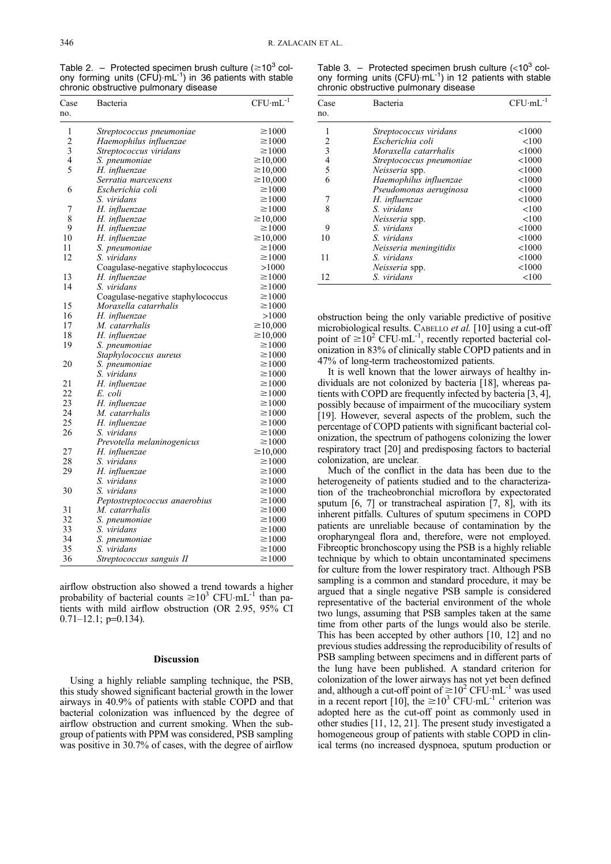Table 2. - Protected specimen brush culture ( $\geq 10^3$  colony forming units  $(CFU)$ .mL $^{-1}$ ) in 36 patients with stable chronic obstructive pulmonary disease

| Case           | Bacteria                                     | $CFU·mL-1$                 |
|----------------|----------------------------------------------|----------------------------|
| no.            |                                              |                            |
| 1              | Streptococcus pneumoniae                     | $\geq 1000$                |
| $\overline{c}$ | Haemophilus influenzae                       | $\geq 1000$                |
| 3              | Streptococcus viridans                       | $\geq 1000$                |
| 4              | S. pneumoniae                                | $\geq 10,000$              |
| 5              | H. influenzae                                | $\geq 10,000$              |
|                | Serratia marcescens                          | $\geq 10,000$              |
| 6              | Escherichia coli                             | $\geq 1000$                |
|                | S. viridans                                  | $\geq 1000$                |
| 7              | H. influenzae                                | $\geq 1000$                |
| 8              | H. influenzae                                | $\geq 10,000$              |
| 9              | H. influenzae                                | $\geq 1000$                |
| 10             | H. influenzae                                | $\geq 10,000$              |
| 11             | S. pneumoniae                                | $\geq 1000$                |
| 12             | S. viridans                                  | $\geq 1000$                |
|                | Coagulase-negative staphylococcus            | >1000                      |
| 13             | H. influenzae                                | $\geq 1000$                |
| 14             | S. viridans                                  | $\geq 1000$                |
|                | Coagulase-negative staphylococcus            | $\geq 1000$                |
| 15             | Moraxella catarrhalis                        | $\geq 1000$                |
| 16             | H. influenzae                                | >1000                      |
| 17             | M. catarrhalis                               | $\geq 10,000$              |
| 18             | H. influenzae                                | $\geq 10,000$              |
| 19             | S. pneumoniae                                | $\geq 1000$                |
|                | Staphylococcus aureus                        | $\geq 1000$                |
| 20             | S. pneumoniae                                | $\geq 1000$                |
|                | S. viridans                                  | $\geq 1000$                |
| 21             | H. influenzae                                | $\geq 1000$                |
| 22             | E. coli                                      | $\geq 1000$                |
| 23             | H. influenzae                                | $\geq 1000$                |
| 24             | M. catarrhalis                               | $\geq 1000$                |
| 25             | H. influenzae                                | $\geq 1000$                |
| 26             | S. viridans                                  | $\geq 1000$                |
|                | Prevotella melaninogenicus                   | $\geq 1000$                |
| 27             | H. influenzae                                | $\geq 10,000$              |
| 28<br>29       | S. viridans                                  | $\geq 1000$<br>$\geq 1000$ |
|                | H. influenzae                                |                            |
| 30             | S. viridans                                  | $\geq 1000$<br>$\geq 1000$ |
|                | S. viridans<br>Peptostreptococcus anaerobius | $\geq 1000$                |
| 31             | M. catarrhalis                               | $\geq 1000$                |
| 32             |                                              | $\geq 1000$                |
| 33             | S. pneumoniae<br>S. viridans                 | $\geq 1000$                |
| 34             | S. pneumoniae                                | $\geq 1000$                |
| 35             | S. viridans                                  | $\geq 1000$                |
| 36             | Streptococcus sanguis II                     | $\geq 1000$                |
|                |                                              |                            |

airflow obstruction also showed a trend towards a higher probability of bacterial counts  $\geq 10^3$  CFU·mL<sup>-1</sup> than patients with mild airflow obstruction (OR 2.95, 95% CI  $0.71-12.1$ ; p=0.134).

## Discussion

Using a highly reliable sampling technique, the PSB, this study showed significant bacterial growth in the lower airways in 40.9% of patients with stable COPD and that bacterial colonization was influenced by the degree of airflow obstruction and current smoking. When the subgroup of patients with PPM was considered, PSB sampling was positive in 30.7% of cases, with the degree of airflow

Table 3. - Protected specimen brush culture  $(<10^3$  colony forming units  $(CFU)$  mL $^{-1}$ ) in 12 patients with stable chronic obstructive pulmonary disease

| Case | Bacteria                 | $CFU·mL^{-1}$ |
|------|--------------------------|---------------|
| no.  |                          |               |
| 1    | Streptococcus viridans   | < 1000        |
| 2    | Escherichia coli         | <100          |
| 3    | Moraxella catarrhalis    | < 1000        |
| 4    | Streptococcus pneumoniae | < 1000        |
| 5    | Neisseria spp.           | < 1000        |
| 6    | Haemophilus influenzae   | < 1000        |
|      | Pseudomonas aeruginosa   | < 1000        |
| 7    | H. influenzae            | < 1000        |
| 8    | S. viridans              | <100          |
|      | Neisseria spp.           | <100          |
| 9    | S. viridans              | < 1000        |
| 10   | S. viridans              | < 1000        |
|      | Neisseria meningitidis   | < 1000        |
| 11   | S. viridans              | < 1000        |
|      | Neisseria spp.           | < 1000        |
| 12   | S. viridans              | < 100         |

obstruction being the only variable predictive of positive microbiological results. CABELLO et al. [10] using a cut-off point of  $\geq 10^2$  CFU·mL<sup>-1</sup>, recently reported bacterial colonization in 83% of clinically stable COPD patients and in 47% of long-term tracheostomized patients.

It is well known that the lower airways of healthy individuals are not colonized by bacteria [18], whereas patients with COPD are frequently infected by bacteria [3, 4], possibly because of impairment of the mucociliary system [19]. However, several aspects of the problem, such the percentage of COPD patients with significant bacterial colonization, the spectrum of pathogens colonizing the lower respiratory tract [20] and predisposing factors to bacterial colonization, are unclear.

Much of the conflict in the data has been due to the heterogeneity of patients studied and to the characterization of the tracheobronchial microflora by expectorated sputum [6, 7] or transtracheal aspiration [7, 8], with its inherent pitfalls. Cultures of sputum specimens in COPD patients are unreliable because of contamination by the oropharyngeal flora and, therefore, were not employed. Fibreoptic bronchoscopy using the PSB is a highly reliable technique by which to obtain uncontaminated specimens for culture from the lower respiratory tract. Although PSB sampling is a common and standard procedure, it may be argued that a single negative PSB sample is considered representative of the bacterial environment of the whole two lungs, assuming that PSB samples taken at the same time from other parts of the lungs would also be sterile. This has been accepted by other authors [10, 12] and no previous studies addressing the reproducibility of results of PSB sampling between specimens and in different parts of the lung have been published. A standard criterion for colonization of the lower airways has not yet been defined and, although a cut-off point of  $\geq 10^2$  CFU·mL<sup>-1</sup> was used in a recent report [10], the  $\geq 10^3$  CFU·mL<sup>-1</sup> criterion was adopted here as the cut-off point as commonly used in other studies [11, 12, 21]. The present study investigated a homogeneous group of patients with stable COPD in clinical terms (no increased dyspnoea, sputum production or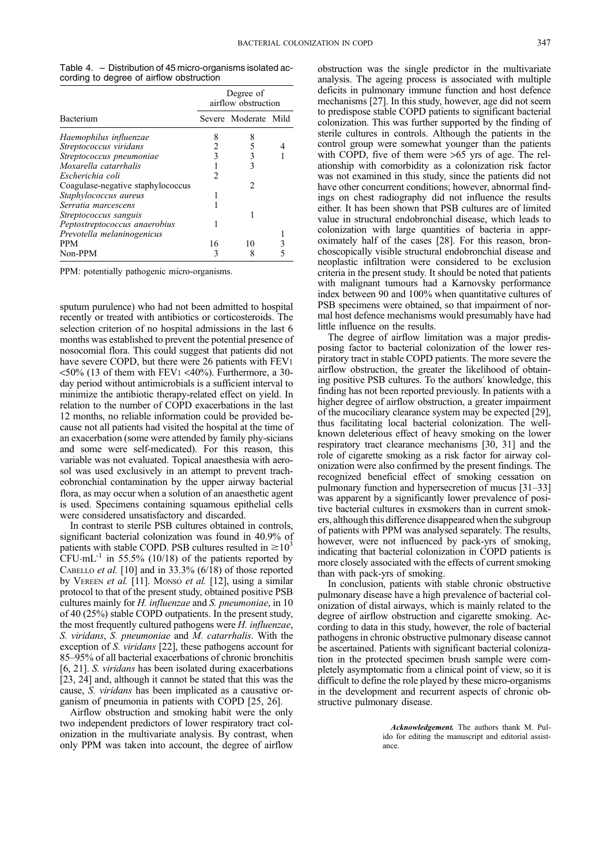|  |                                          | Table 4. – Distribution of 45 micro-organisms isolated ac- |
|--|------------------------------------------|------------------------------------------------------------|
|  | cording to degree of airflow obstruction |                                                            |

|                                   | Degree of<br>airflow obstruction |                      |  |
|-----------------------------------|----------------------------------|----------------------|--|
| Bacterium                         |                                  | Severe Moderate Mild |  |
| Haemophilus influenzae            | 8                                |                      |  |
| Streptococcus viridans            |                                  |                      |  |
| Streptococcus pneumoniae          |                                  |                      |  |
| Moxarella catarrhalis             |                                  | 3                    |  |
| Escherichia coli                  | 2                                |                      |  |
| Coagulase-negative staphylococcus |                                  | 2                    |  |
| Staphylococcus aureus             |                                  |                      |  |
| Serratia marcescens               |                                  |                      |  |
| Streptococcus sanguis             |                                  |                      |  |
| Peptostreptococcus anaerobius     |                                  |                      |  |
| Prevotella melaninogenicus        |                                  |                      |  |
| <b>PPM</b>                        | 16                               | 10                   |  |
| Non-PPM                           |                                  |                      |  |

PPM: potentially pathogenic micro-organisms.

sputum purulence) who had not been admitted to hospital recently or treated with antibiotics or corticosteroids. The selection criterion of no hospital admissions in the last 6 months was established to prevent the potential presence of nosocomial flora. This could suggest that patients did not have severe COPD, but there were 26 patients with FEV1  $\langle 50\%$  (13 of them with FEV1  $\langle 40\%$ ). Furthermore, a 30day period without antimicrobials is a sufficient interval to minimize the antibiotic therapy-related effect on yield. In relation to the number of COPD exacerbations in the last 12 months, no reliable information could be provided because not all patients had visited the hospital at the time of an exacerbation (some were attended by family phy-sicians and some were self-medicated). For this reason, this variable was not evaluated. Topical anaesthesia with aerosol was used exclusively in an attempt to prevent tracheobronchial contamination by the upper airway bacterial flora, as may occur when a solution of an anaesthetic agent is used. Specimens containing squamous epithelial cells were considered unsatisfactory and discarded.

In contrast to sterile PSB cultures obtained in controls, significant bacterial colonization was found in 40.9% of patients with stable COPD. PSB cultures resulted in  $\geq 10^3$  $CFU·mL^{-1}$  in 55.5% (10/18) of the patients reported by CABELLO et al. [10] and in 33.3% (6/18) of those reported by VEREEN et al. [11]. Monsó et al. [12], using a similar protocol to that of the present study, obtained positive PSB cultures mainly for H. influenzae and S. pneumoniae, in 10 of 40 (25%) stable COPD outpatients. In the present study, the most frequently cultured pathogens were H. influenzae, S. viridans, S. pneumoniae and M. catarrhalis. With the exception of S. viridans [22], these pathogens account for 85-95% of all bacterial exacerbations of chronic bronchitis [6, 21]. S. viridans has been isolated during exacerbations [23, 24] and, although it cannot be stated that this was the cause, S. viridans has been implicated as a causative organism of pneumonia in patients with COPD [25, 26].

Airflow obstruction and smoking habit were the only two independent predictors of lower respiratory tract colonization in the multivariate analysis. By contrast, when only PPM was taken into account, the degree of airflow

obstruction was the single predictor in the multivariate analysis. The ageing process is associated with multiple deficits in pulmonary immune function and host defence mechanisms [27]. In this study, however, age did not seem to predispose stable COPD patients to significant bacterial colonization. This was further supported by the finding of sterile cultures in controls. Although the patients in the control group were somewhat younger than the patients with COPD, five of them were >65 yrs of age. The relationship with comorbidity as a colonization risk factor was not examined in this study, since the patients did not have other concurrent conditions; however, abnormal findings on chest radiography did not influence the results either. It has been shown that PSB cultures are of limited value in structural endobronchial disease, which leads to colonization with large quantities of bacteria in approximately half of the cases [28]. For this reason, bronchoscopically visible structural endobronchial disease and neoplastic infiltration were considered to be exclusion criteria in the present study. It should be noted that patients with malignant tumours had a Karnovsky performance index between 90 and 100% when quantitative cultures of PSB specimens were obtained, so that impairment of normal host defence mechanisms would presumably have had little influence on the results.

The degree of airflow limitation was a major predisposing factor to bacterial colonization of the lower respiratory tract in stable COPD patients. The more severe the airflow obstruction, the greater the likelihood of obtaining positive PSB cultures. To the authors' knowledge, this finding has not been reported previously. In patients with a higher degree of airflow obstruction, a greater impairment of the mucociliary clearance system may be expected [29], thus facilitating local bacterial colonization. The wellknown deleterious effect of heavy smoking on the lower respiratory tract clearance mechanisms [30, 31] and the role of cigarette smoking as a risk factor for airway colonization were also confirmed by the present findings. The recognized beneficial effect of smoking cessation on pulmonary function and hypersecretion of mucus  $[31-33]$ was apparent by a significantly lower prevalence of positive bacterial cultures in exsmokers than in current smokers, although this difference disappeared when the subgroup of patients with PPM was analysed separately. The results, however, were not influenced by pack-yrs of smoking, indicating that bacterial colonization in COPD patients is more closely associated with the effects of current smoking than with pack-yrs of smoking.

In conclusion, patients with stable chronic obstructive pulmonary disease have a high prevalence of bacterial colonization of distal airways, which is mainly related to the degree of airflow obstruction and cigarette smoking. According to data in this study, however, the role of bacterial pathogens in chronic obstructive pulmonary disease cannot be ascertained. Patients with significant bacterial colonization in the protected specimen brush sample were completely asymptomatic from a clinical point of view, so it is difficult to define the role played by these micro-organisms in the development and recurrent aspects of chronic obstructive pulmonary disease.

> Acknowledgement. The authors thank M. Pulido for editing the manuscript and editorial assistance.